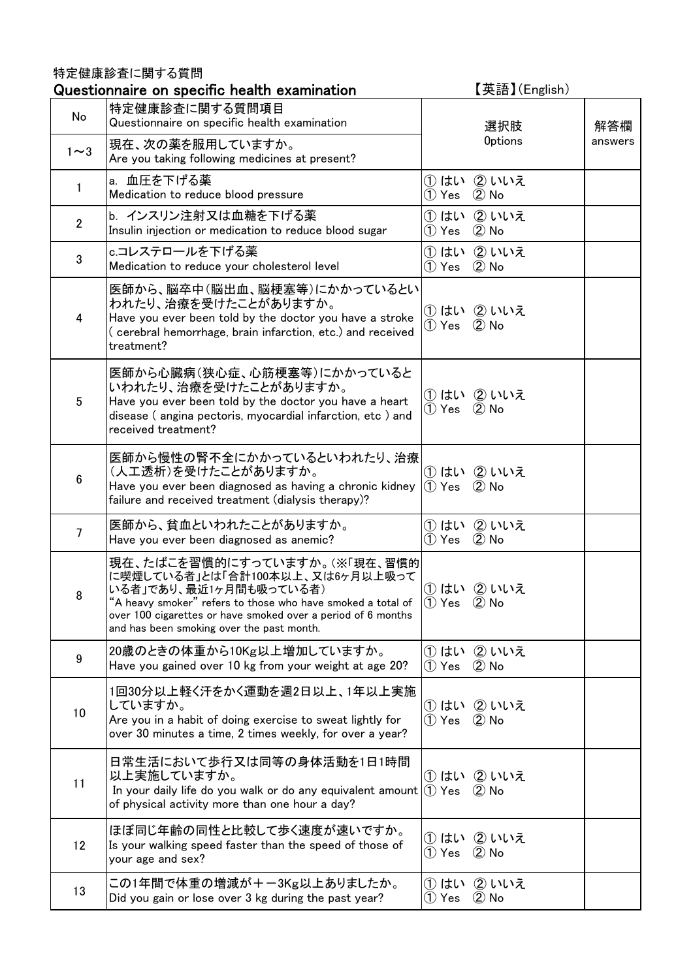## 特定健康診査に関する質問

|                | Questionnaire on specific health examination                                                                                                                                                                                                                                                                                                                           | 【英語】(English)                    |         |
|----------------|------------------------------------------------------------------------------------------------------------------------------------------------------------------------------------------------------------------------------------------------------------------------------------------------------------------------------------------------------------------------|----------------------------------|---------|
| No             | 特定健康診査に関する質問項目<br>Questionnaire on specific health examination                                                                                                                                                                                                                                                                                                         | 選択肢                              | 解答欄     |
| $1 \sim 3$     | 現在、次の薬を服用していますか。<br>Are you taking following medicines at present?                                                                                                                                                                                                                                                                                                     | <b>Options</b>                   | answers |
| 1              | a. 血圧を下げる薬<br>Medication to reduce blood pressure                                                                                                                                                                                                                                                                                                                      | ①はい ②いいえ<br>1) Yes 2 No          |         |
| $\overline{2}$ | b. インスリン注射又は血糖を下げる薬<br>Insulin injection or medication to reduce blood sugar                                                                                                                                                                                                                                                                                           | ①はい ②いいえ<br>$(1)$ Yes $(2)$ No   |         |
| 3              | c.コレステロールを下げる薬<br>Medication to reduce your cholesterol level                                                                                                                                                                                                                                                                                                          | ①はい ②いいえ<br>1) Yes 2 No          |         |
| 4              | 医師から、脳卒中(脳出血、脳梗塞等)にかかっているとい<br>われたり、治療を受けたことがありますか。<br>Have you ever been told by the doctor you have a stroke<br>(cerebral hemorrhage, brain infarction, etc.) and received<br>treatment?                                                                                                                                                                             | ①はい ②いいえ<br>1) Yes 2 No          |         |
| 5              | 医師から心臓病(狭心症、心筋梗塞等)にかかっていると<br>いわれたり、治療を受けたことがありますか。<br>Have you ever been told by the doctor you have a heart<br>disease ( angina pectoris, myocardial infarction, etc ) and<br>received treatment?                                                                                                                                                                    | ① はい ② いいえ<br>1) Yes 2 No        |         |
| $6\phantom{.}$ | 医師から慢性の腎不全にかかっているといわれたり、治療<br>(人工透析)を受けたことがありますか。<br>Have you ever been diagnosed as having a chronic kidney $(1)$ Yes $(2)$ No<br>failure and received treatment (dialysis therapy)?                                                                                                                                                                                  | ① はい ② いいえ                       |         |
| $\overline{7}$ | 医師から、貧血といわれたことがありますか。<br>Have you ever been diagnosed as anemic?                                                                                                                                                                                                                                                                                                       | ①はい ②いいえ<br>1) Yes 2 No          |         |
| 8              | 現在、たばこを習慣的にすっていますか。(※「現在、習慣的<br>に喫煙している者」とは「合計100本以上、又は6ヶ月以上吸って<br>いる者」であり、最近1ヶ月間も吸っている者)<br>"A heavy smoker" refers to those who have smoked a total of $\left(\begin{matrix} 1 \end{matrix}\right)$ Yes $\left(\begin{matrix} 2 \end{matrix}\right)$ No<br>over 100 cigarettes or have smoked over a period of 6 months<br>and has been smoking over the past month. | ① はい ② いいえ                       |         |
| 9              | 20歳のときの体重から10Kg以上増加していますか。<br>Have you gained over 10 kg from your weight at age 20?                                                                                                                                                                                                                                                                                   | ① はい ② いいえ<br>1) Yes 2 No        |         |
| 10             | 1回30分以上軽く汗をかく運動を週2日以上、1年以上実施<br>していますか。<br>Are you in a habit of doing exercise to sweat lightly for<br>over 30 minutes a time, 2 times weekly, for over a year?                                                                                                                                                                                                       | ① はい ② いいえ<br>$(1)$ Yes $(2)$ No |         |
| 11             | 日常生活において歩行又は同等の身体活動を1日1時間<br>以上実施していますか。<br>In your daily life do you walk or do any equivalent amount $(1)$ Yes $(2)$ No<br>of physical activity more than one hour a day?                                                                                                                                                                                            | ① はい ② いいえ                       |         |
| 12             | ほぼ同じ年齢の同性と比較して歩く速度が速いですか。<br>Is your walking speed faster than the speed of those of<br>your age and sex?                                                                                                                                                                                                                                                              | ① はい ② いいえ<br>(1) Yes (2) No     |         |
| 13             | この1年間で体重の増減が+-3Kg以上ありましたか。<br>Did you gain or lose over 3 kg during the past year?                                                                                                                                                                                                                                                                                     | ①はい ②いいえ<br>$(2)$ No<br>① Yes    |         |